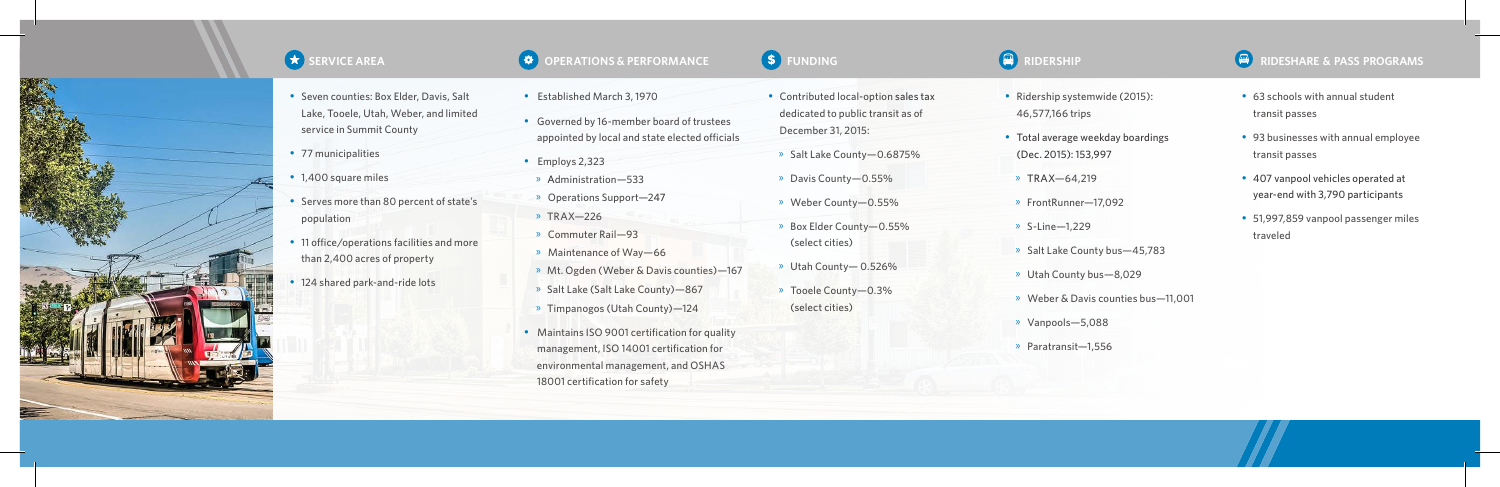

## **SERVICE AREA**

- Seven counties: Box Elder, Davis, Salt Lake, Tooele, Utah, Weber, and limited service in Summit County
- 77 municipalities
- 1,400 square miles
- Serves more than 80 percent of state's population
- 11 office/operations facilities and more than 2,400 acres of property
- 124 shared park-and-ride lots
- Established March 3, 1970
- Governed by 16-member board of trustees appointed by local and state elected officials

 $\bullet$  OPERATIONS & PERFORMANCE

- $\cdot$  Employs 2,323
- » Administration—533
- » Operations Support—247 » TRAX—226
- » Commuter Rail—93
- » Maintenance of Way—66
- » Mt. Ogden (Weber & Davis counties)—167
- » Salt Lake (Salt Lake County)—867
- » Timpanogos (Utah County)—124
- Maintains ISO 9001 certification for quality management, ISO 14001 certification for environmental management, and OSHAS 18001 certification for safety
- Contributed local-option sales tax dedicated to public transit as of December 31, 2015:
- » Salt Lake County—0.6875%
- » Davis County—0.55%

S FUNDING

- » Weber County—0.55% » Box Elder County—0.55%
- (select cities)
- » Utah County— 0.526%
- » Tooele County—0.3% (select cities)
- Ridership systemwide (2015): 46,577,166 trips
- Total average weekday boardings (Dec. 2015): 153,997
- » TRAX—64,219

**RIDERSHIP** 

- » FrontRunner—17,092
- » S-Line—1,229
- » Salt Lake County bus—45,783
- » Utah County bus—8,029
- » Weber & Davis counties bus—11,001
- » Vanpools—5,088
- » Paratransit—1,556
- **RIDESHARE & PASS PROGRAMS**
- 63 schools with annual student transit passes
- 93 businesses with annual employee transit passes
- 407 vanpool vehicles operated at year-end with 3,790 participants
- 51,997,859 vanpool passenger miles traveled